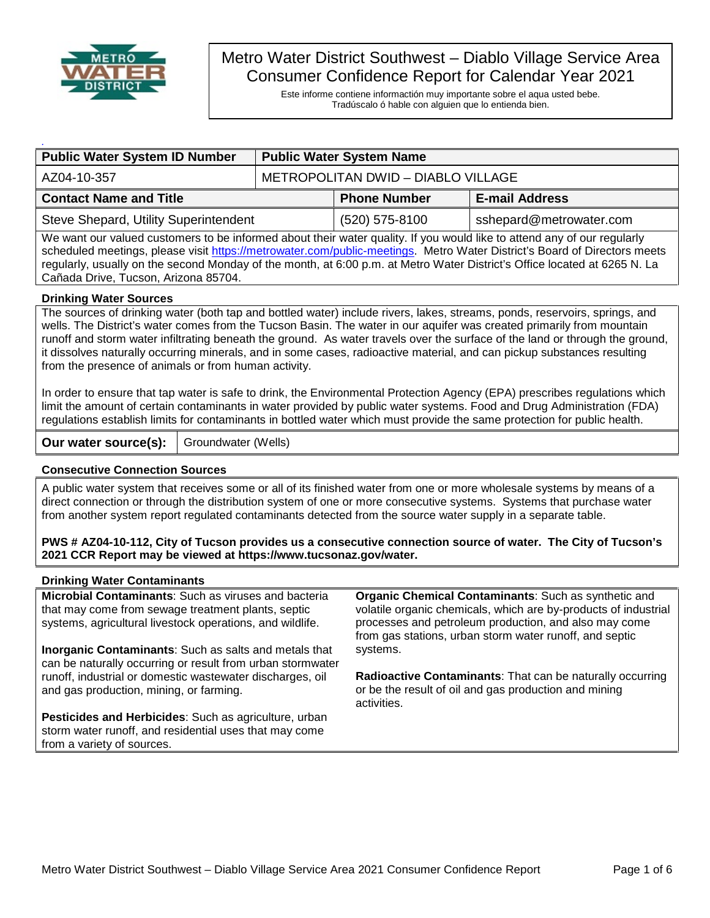

# Metro Water District Southwest – Diablo Village Service Area Consumer Confidence Report for Calendar Year 2021

Este informe contiene informactión muy importante sobre el aqua usted bebe. Tradúscalo ó hable con alguien que lo entienda bien.

| <b>Public Water System ID Number</b>  | <b>Public Water System Name</b>    |                     |                         |  |  |  |
|---------------------------------------|------------------------------------|---------------------|-------------------------|--|--|--|
| AZ04-10-357                           | METROPOLITAN DWID - DIABLO VILLAGE |                     |                         |  |  |  |
| <b>Contact Name and Title</b>         |                                    | <b>Phone Number</b> | <b>E-mail Address</b>   |  |  |  |
| Steve Shepard, Utility Superintendent |                                    | (520) 575-8100      | sshepard@metrowater.com |  |  |  |

We want our valued customers to be informed about their water quality. If you would like to attend any of our regularly scheduled meetings, please visit [https://metrowater.com/public-meetings.](https://metrowater.com/public-meetings) Metro Water District's Board of Directors meets regularly, usually on the second Monday of the month, at 6:00 p.m. at Metro Water District's Office located at 6265 N. La Cañada Drive, Tucson, Arizona 85704.

#### **Drinking Water Sources**

The sources of drinking water (both tap and bottled water) include rivers, lakes, streams, ponds, reservoirs, springs, and wells. The District's water comes from the Tucson Basin. The water in our aquifer was created primarily from mountain runoff and storm water infiltrating beneath the ground. As water travels over the surface of the land or through the ground, it dissolves naturally occurring minerals, and in some cases, radioactive material, and can pickup substances resulting from the presence of animals or from human activity.

In order to ensure that tap water is safe to drink, the Environmental Protection Agency (EPA) prescribes regulations which limit the amount of certain contaminants in water provided by public water systems. Food and Drug Administration (FDA) regulations establish limits for contaminants in bottled water which must provide the same protection for public health.

**Our water source(s):** | Groundwater (Wells)

#### **Consecutive Connection Sources**

A public water system that receives some or all of its finished water from one or more wholesale systems by means of a direct connection or through the distribution system of one or more consecutive systems. Systems that purchase water from another system report regulated contaminants detected from the source water supply in a separate table.

**PWS # AZ04-10-112, City of Tucson provides us a consecutive connection source of water. The City of Tucson's 2021 CCR Report may be viewed at https://www.tucsonaz.gov/water.**

#### **Drinking Water Contaminants**

**Microbial Contaminants**: Such as viruses and bacteria that may come from sewage treatment plants, septic systems, agricultural livestock operations, and wildlife.

**Inorganic Contaminants**: Such as salts and metals that can be naturally occurring or result from urban stormwater runoff, industrial or domestic wastewater discharges, oil and gas production, mining, or farming.

**Pesticides and Herbicides**: Such as agriculture, urban storm water runoff, and residential uses that may come from a variety of sources.

**Organic Chemical Contaminants**: Such as synthetic and volatile organic chemicals, which are by-products of industrial processes and petroleum production, and also may come from gas stations, urban storm water runoff, and septic systems.

**Radioactive Contaminants**: That can be naturally occurring or be the result of oil and gas production and mining activities.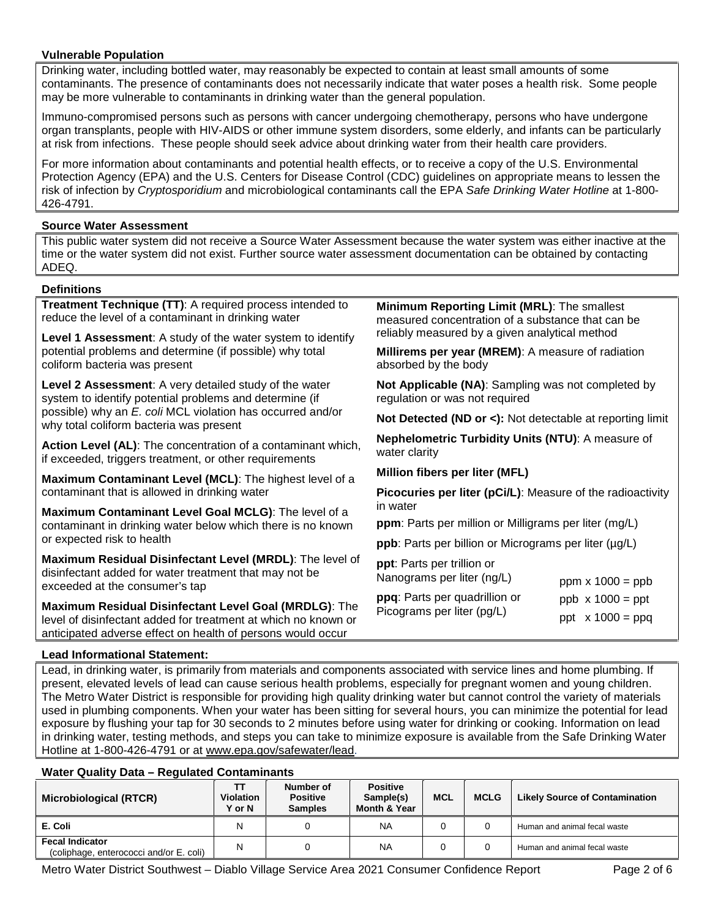#### **Vulnerable Population**

Drinking water, including bottled water, may reasonably be expected to contain at least small amounts of some contaminants. The presence of contaminants does not necessarily indicate that water poses a health risk. Some people may be more vulnerable to contaminants in drinking water than the general population.

Immuno-compromised persons such as persons with cancer undergoing chemotherapy, persons who have undergone organ transplants, people with HIV-AIDS or other immune system disorders, some elderly, and infants can be particularly at risk from infections. These people should seek advice about drinking water from their health care providers.

For more information about contaminants and potential health effects, or to receive a copy of the U.S. Environmental Protection Agency (EPA) and the U.S. Centers for Disease Control (CDC) guidelines on appropriate means to lessen the risk of infection by *Cryptosporidium* and microbiological contaminants call the EPA *Safe Drinking Water Hotline* at 1-800- 426-4791.

#### **Source Water Assessment**

This public water system did not receive a Source Water Assessment because the water system was either inactive at the time or the water system did not exist. Further source water assessment documentation can be obtained by contacting ADEQ.

#### **Definitions**

| Treatment Technique (TT): A required process intended to<br>reduce the level of a contaminant in drinking water         | Minimum Reporting Limit (MRL): The smallest<br>measured concentration of a substance that can be |  |  |  |  |
|-------------------------------------------------------------------------------------------------------------------------|--------------------------------------------------------------------------------------------------|--|--|--|--|
| Level 1 Assessment: A study of the water system to identify                                                             | reliably measured by a given analytical method                                                   |  |  |  |  |
| potential problems and determine (if possible) why total<br>coliform bacteria was present                               | Millirems per year (MREM): A measure of radiation<br>absorbed by the body                        |  |  |  |  |
| Level 2 Assessment: A very detailed study of the water<br>system to identify potential problems and determine (if       | Not Applicable (NA): Sampling was not completed by<br>regulation or was not required             |  |  |  |  |
| possible) why an E. coli MCL violation has occurred and/or<br>why total coliform bacteria was present                   | Not Detected (ND or <): Not detectable at reporting limit                                        |  |  |  |  |
| Action Level (AL): The concentration of a contaminant which,<br>if exceeded, triggers treatment, or other requirements  | Nephelometric Turbidity Units (NTU): A measure of<br>water clarity                               |  |  |  |  |
| Maximum Contaminant Level (MCL): The highest level of a                                                                 | Million fibers per liter (MFL)                                                                   |  |  |  |  |
| contaminant that is allowed in drinking water                                                                           | <b>Picocuries per liter (pCi/L):</b> Measure of the radioactivity<br>in water                    |  |  |  |  |
| Maximum Contaminant Level Goal MCLG): The level of a                                                                    |                                                                                                  |  |  |  |  |
| contaminant in drinking water below which there is no known                                                             | <b>ppm</b> : Parts per million or Milligrams per liter (mg/L)                                    |  |  |  |  |
| or expected risk to health                                                                                              | ppb: Parts per billion or Micrograms per liter (µg/L)                                            |  |  |  |  |
| Maximum Residual Disinfectant Level (MRDL): The level of                                                                | ppt: Parts per trillion or                                                                       |  |  |  |  |
| disinfectant added for water treatment that may not be                                                                  | Nanograms per liter (ng/L)<br>ppm $x 1000 = ppb$                                                 |  |  |  |  |
| exceeded at the consumer's tap                                                                                          | ppq: Parts per quadrillion or<br>$ppb \times 1000 = ppt$                                         |  |  |  |  |
| Maximum Residual Disinfectant Level Goal (MRDLG): The<br>level of disinfectant added for treatment at which no known or | Picograms per liter (pg/L)<br>ppt $x 1000 = ppq$                                                 |  |  |  |  |
| anticipated adverse effect on health of persons would occur                                                             |                                                                                                  |  |  |  |  |
| <b>Lead Informational Statement:</b>                                                                                    |                                                                                                  |  |  |  |  |

### **Lead Informational Statement:**

Lead, in drinking water, is primarily from materials and components associated with service lines and home plumbing. If present, elevated levels of lead can cause serious health problems, especially for pregnant women and young children. The Metro Water District is responsible for providing high quality drinking water but cannot control the variety of materials used in plumbing components. When your water has been sitting for several hours, you can minimize the potential for lead exposure by flushing your tap for 30 seconds to 2 minutes before using water for drinking or cooking. Information on lead in drinking water, testing methods, and steps you can take to minimize exposure is available from the Safe Drinking Water Hotline at 1-800-426-4791 or at [www.epa.gov/safewater/lead.](http://www.epa.gov/safewater/lead)

#### **Water Quality Data – Regulated Contaminants**

| <b>Microbiological (RTCR)</b>                                     | тт<br><b>Violation</b><br><b>Y</b> or N | Number of<br><b>Positive</b><br><b>Samples</b> | <b>Positive</b><br>Sample(s)<br>Month & Year | <b>MCL</b> | <b>MCLG</b> | <b>Likely Source of Contamination</b> |
|-------------------------------------------------------------------|-----------------------------------------|------------------------------------------------|----------------------------------------------|------------|-------------|---------------------------------------|
| E. Coli                                                           | Ν                                       |                                                | <b>NA</b>                                    |            |             | Human and animal fecal waste          |
| <b>Fecal Indicator</b><br>(coliphage, enterococci and/or E. coli) | Ν                                       |                                                | <b>NA</b>                                    |            |             | Human and animal fecal waste          |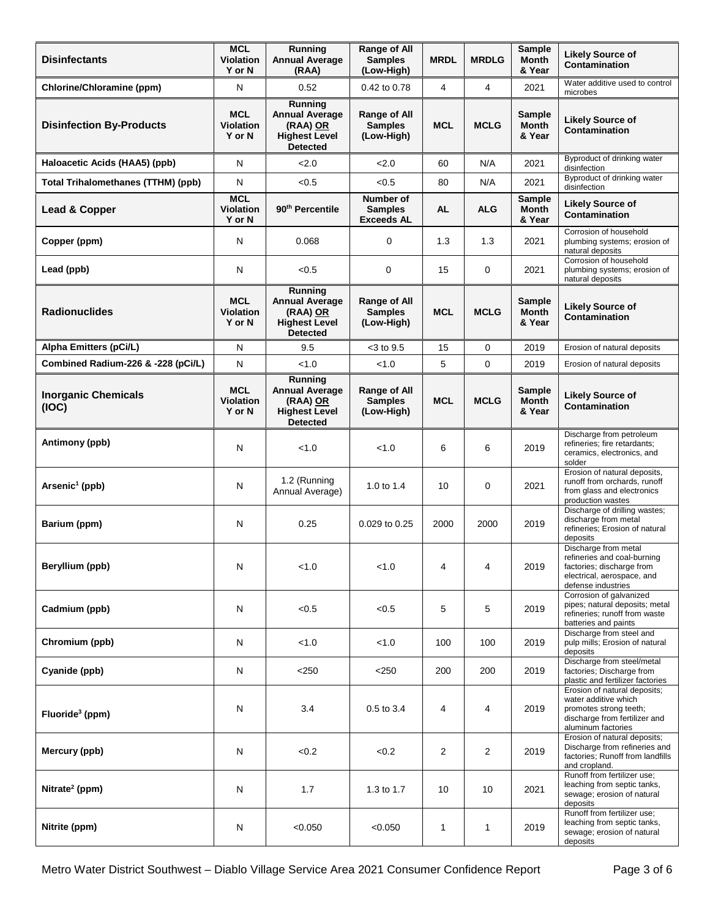| <b>Disinfectants</b>                      | <b>MCL</b><br><b>Violation</b><br>Y or N | Running<br>Range of All<br><b>Annual Average</b><br><b>Samples</b><br>(Low-High)<br>(RAA) |                                                  | <b>MRDL</b>    | <b>MRDLG</b>   | <b>Sample</b><br>Month<br>& Year | <b>Likely Source of</b><br>Contamination                                                                                              |
|-------------------------------------------|------------------------------------------|-------------------------------------------------------------------------------------------|--------------------------------------------------|----------------|----------------|----------------------------------|---------------------------------------------------------------------------------------------------------------------------------------|
| Chlorine/Chloramine (ppm)                 | N                                        | 0.52                                                                                      | 0.42 to 0.78                                     | 4              | $\overline{4}$ | 2021                             | Water additive used to control<br>microbes                                                                                            |
| <b>Disinfection By-Products</b>           | <b>MCL</b><br><b>Violation</b><br>Y or N | Running<br><b>Annual Average</b><br>(RAA) OR<br><b>Highest Level</b><br><b>Detected</b>   | Range of All<br><b>Samples</b><br>(Low-High)     | <b>MCL</b>     | <b>MCLG</b>    | Sample<br><b>Month</b><br>& Year | <b>Likely Source of</b><br>Contamination                                                                                              |
| Haloacetic Acids (HAA5) (ppb)             | N                                        | 2.0                                                                                       | 2.0                                              | 60             | N/A            | 2021                             | Byproduct of drinking water<br>disinfection                                                                                           |
| <b>Total Trihalomethanes (TTHM) (ppb)</b> | N                                        | < 0.5                                                                                     | < 0.5                                            | 80             | N/A            | 2021                             | Byproduct of drinking water<br>disinfection                                                                                           |
| Lead & Copper                             | <b>MCL</b><br><b>Violation</b><br>Y or N | 90 <sup>th</sup> Percentile                                                               | Number of<br><b>Samples</b><br><b>Exceeds AL</b> | <b>AL</b>      | <b>ALG</b>     | Sample<br><b>Month</b><br>& Year | <b>Likely Source of</b><br>Contamination                                                                                              |
| Copper (ppm)                              | N                                        | 0.068                                                                                     | 0                                                | 1.3            | 1.3            | 2021                             | Corrosion of household<br>plumbing systems; erosion of<br>natural deposits                                                            |
| Lead (ppb)                                | N                                        | < 0.5                                                                                     | 0                                                | 15             | 0              | 2021                             | Corrosion of household<br>plumbing systems; erosion of<br>natural deposits                                                            |
| <b>Radionuclides</b>                      | <b>MCL</b><br>Violation<br>Y or N        | Running<br><b>Annual Average</b><br>(RAA) OR<br><b>Highest Level</b><br><b>Detected</b>   | Range of All<br><b>Samples</b><br>(Low-High)     | <b>MCL</b>     | <b>MCLG</b>    | Sample<br><b>Month</b><br>& Year | <b>Likely Source of</b><br><b>Contamination</b>                                                                                       |
| Alpha Emitters (pCi/L)                    | N                                        | 9.5                                                                                       | $<$ 3 to 9.5                                     | 15             | 0              | 2019                             | Erosion of natural deposits                                                                                                           |
| Combined Radium-226 & -228 (pCi/L)        | N                                        | < 1.0                                                                                     | < 1.0                                            | 5              | $\mathbf 0$    | 2019                             | Erosion of natural deposits                                                                                                           |
| <b>Inorganic Chemicals</b><br>(IOC)       | <b>MCL</b><br><b>Violation</b><br>Y or N | Running<br><b>Annual Average</b><br>(RAA) OR<br><b>Highest Level</b><br><b>Detected</b>   | Range of All<br><b>Samples</b><br>(Low-High)     | <b>MCL</b>     | <b>MCLG</b>    | <b>Sample</b><br>Month<br>& Year | <b>Likely Source of</b><br>Contamination                                                                                              |
| Antimony (ppb)                            | N                                        | < 1.0                                                                                     | < 1.0                                            | 6              | 6              | 2019                             | Discharge from petroleum<br>refineries; fire retardants;<br>ceramics, electronics, and<br>solder                                      |
| Arsenic <sup>1</sup> (ppb)                | N                                        | 1.2 (Running<br>Annual Average)                                                           | 1.0 to 1.4                                       | 10             | 0              | 2021                             | Erosion of natural deposits,<br>runoff from orchards, runoff<br>from glass and electronics<br>production wastes                       |
| Barium (ppm)                              | N                                        | 0.25                                                                                      | 0.029 to 0.25                                    | 2000           | 2000           | 2019                             | Discharge of drilling wastes;<br>discharge from metal<br>refineries; Erosion of natural<br>deposits                                   |
| Beryllium (ppb)                           | N                                        | < 1.0                                                                                     | < 1.0                                            | 4              | 4              | 2019                             | Discharge from metal<br>refineries and coal-burning<br>factories; discharge from<br>electrical, aerospace, and<br>defense industries  |
| Cadmium (ppb)                             | $\mathsf{N}$                             | < 0.5                                                                                     | < 0.5                                            | 5              | 5              | 2019                             | Corrosion of galvanized<br>pipes; natural deposits; metal<br>refineries; runoff from waste<br>batteries and paints                    |
| Chromium (ppb)                            | N                                        | < 1.0                                                                                     | < 1.0                                            | 100            | 100            | 2019                             | Discharge from steel and<br>pulp mills; Erosion of natural<br>deposits                                                                |
| Cyanide (ppb)                             | N                                        | $<$ 250                                                                                   | $<$ 250                                          | 200            | 200            | 2019                             | Discharge from steel/metal<br>factories; Discharge from<br>plastic and fertilizer factories                                           |
| Fluoride <sup>3</sup> (ppm)               | N                                        | 3.4                                                                                       | 0.5 to 3.4                                       | 4              | 4              | 2019                             | Erosion of natural deposits;<br>water additive which<br>promotes strong teeth;<br>discharge from fertilizer and<br>aluminum factories |
| Mercury (ppb)                             | N                                        | <0.2                                                                                      | < 0.2                                            | $\overline{2}$ | 2              | 2019                             | Erosion of natural deposits;<br>Discharge from refineries and<br>factories; Runoff from landfills<br>and cropland.                    |
| Nitrate <sup>2</sup> (ppm)                | N                                        | 1.7                                                                                       | 1.3 to 1.7                                       | 10             | 10             | 2021                             | Runoff from fertilizer use;<br>leaching from septic tanks,<br>sewage; erosion of natural<br>deposits                                  |
| Nitrite (ppm)                             | N                                        | < 0.050                                                                                   | < 0.050                                          | 1              | 1              | 2019                             | Runoff from fertilizer use;<br>leaching from septic tanks,<br>sewage; erosion of natural<br>deposits                                  |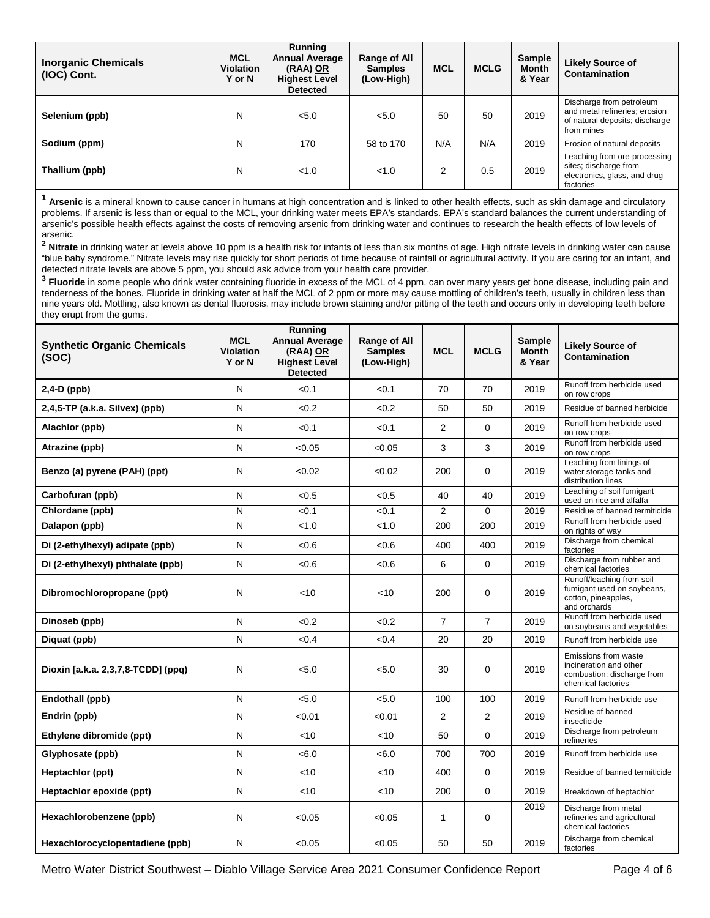| <b>Inorganic Chemicals</b><br>(IOC) Cont. | <b>MCL</b><br><b>Violation</b><br>Y or N | Running<br><b>Annual Average</b><br>(RAA) OR<br><b>Highest Level</b><br><b>Detected</b> | Range of All<br><b>Samples</b><br>(Low-High) | <b>MCL</b> | <b>MCLG</b> | <b>Sample</b><br><b>Month</b><br>& Year | <b>Likely Source of</b><br>Contamination                                                                  |
|-------------------------------------------|------------------------------------------|-----------------------------------------------------------------------------------------|----------------------------------------------|------------|-------------|-----------------------------------------|-----------------------------------------------------------------------------------------------------------|
| Selenium (ppb)                            | N                                        | < 5.0                                                                                   | 5.0                                          | 50         | 50          | 2019                                    | Discharge from petroleum<br>and metal refineries; erosion<br>of natural deposits; discharge<br>from mines |
| Sodium (ppm)                              | N                                        | 170                                                                                     | 58 to 170                                    | N/A        | N/A         | 2019                                    | Erosion of natural deposits                                                                               |
| Thallium (ppb)                            | N                                        | <1.0                                                                                    | <1.0                                         | 2          | 0.5         | 2019                                    | Leaching from ore-processing<br>sites; discharge from<br>electronics, glass, and drug<br>factories        |

**<sup>1</sup> Arsenic** is a mineral known to cause cancer in humans at high concentration and is linked to other health effects, such as skin damage and circulatory problems. If arsenic is less than or equal to the MCL, your drinking water meets EPA's standards. EPA's standard balances the current understanding of arsenic's possible health effects against the costs of removing arsenic from drinking water and continues to research the health effects of low levels of arsenic.

**<sup>2</sup> Nitrate** in drinking water at levels above 10 ppm is a health risk for infants of less than six months of age. High nitrate levels in drinking water can cause "blue baby syndrome." Nitrate levels may rise quickly for short periods of time because of rainfall or agricultural activity. If you are caring for an infant, and detected nitrate levels are above 5 ppm, you should ask advice from your health care provider.

**<sup>3</sup> Fluoride** in some people who drink water containing fluoride in excess of the MCL of 4 ppm, can over many years get bone disease, including pain and tenderness of the bones. Fluoride in drinking water at half the MCL of 2 ppm or more may cause mottling of children's teeth, usually in children less than nine years old. Mottling, also known as dental fluorosis, may include brown staining and/or pitting of the teeth and occurs only in developing teeth before they erupt from the gums.

| <b>Synthetic Organic Chemicals</b><br>(SOC) | <b>MCL</b><br><b>Violation</b><br>Y or N | Running<br><b>Annual Average</b><br>(RAA) OR<br><b>Highest Level</b><br><b>Detected</b> | Range of All<br><b>Samples</b><br>(Low-High) | <b>MCL</b>     | <b>MCLG</b>    | <b>Sample</b><br><b>Month</b><br>& Year | <b>Likely Source of</b><br>Contamination                                                           |
|---------------------------------------------|------------------------------------------|-----------------------------------------------------------------------------------------|----------------------------------------------|----------------|----------------|-----------------------------------------|----------------------------------------------------------------------------------------------------|
| $2,4-D$ (ppb)                               | N                                        | < 0.1                                                                                   | < 0.1                                        | 70             | 70             | 2019                                    | Runoff from herbicide used<br>on row crops                                                         |
| 2,4,5-TP (a.k.a. Silvex) (ppb)              | N                                        | < 0.2                                                                                   | < 0.2                                        | 50             | 50             | 2019                                    | Residue of banned herbicide                                                                        |
| Alachlor (ppb)                              | N                                        | < 0.1                                                                                   | < 0.1                                        | $\overline{2}$ | $\mathbf 0$    | 2019                                    | Runoff from herbicide used<br>on row crops                                                         |
| Atrazine (ppb)                              | N                                        | < 0.05                                                                                  | < 0.05                                       | 3              | 3              | 2019                                    | Runoff from herbicide used<br>on row crops                                                         |
| Benzo (a) pyrene (PAH) (ppt)                | N                                        | < 0.02                                                                                  | < 0.02                                       | 200            | $\Omega$       | 2019                                    | Leaching from linings of<br>water storage tanks and<br>distribution lines                          |
| Carbofuran (ppb)                            | N                                        | < 0.5                                                                                   | < 0.5                                        | 40             | 40             | 2019                                    | Leaching of soil fumigant<br>used on rice and alfalfa                                              |
| Chlordane (ppb)                             | N                                        | < 0.1                                                                                   | < 0.1                                        | $\overline{2}$ | 0              | 2019                                    | Residue of banned termiticide                                                                      |
| Dalapon (ppb)                               | N                                        | < 1.0                                                                                   | < 1.0                                        | 200            | 200            | 2019                                    | Runoff from herbicide used<br>on rights of way                                                     |
| Di (2-ethylhexyl) adipate (ppb)             | N                                        | <0.6                                                                                    | < 0.6                                        | 400            | 400            | 2019                                    | Discharge from chemical<br>factories                                                               |
| Di (2-ethylhexyl) phthalate (ppb)           | N                                        | <0.6                                                                                    | <0.6                                         | 6              | 0              | 2019                                    | Discharge from rubber and<br>chemical factories                                                    |
| Dibromochloropropane (ppt)                  | N                                        | < 10                                                                                    | $<$ 10                                       | 200            | $\Omega$       | 2019                                    | Runoff/leaching from soil<br>fumigant used on soybeans,<br>cotton, pineapples,<br>and orchards     |
| Dinoseb (ppb)                               | N                                        | < 0.2                                                                                   | < 0.2                                        | $\overline{7}$ | $\overline{7}$ | 2019                                    | Runoff from herbicide used<br>on soybeans and vegetables                                           |
| Diquat (ppb)                                | N                                        | < 0.4                                                                                   | < 0.4                                        | 20             | 20             | 2019                                    | Runoff from herbicide use                                                                          |
| Dioxin [a.k.a. 2,3,7,8-TCDD] (ppq)          | N                                        | < 5.0                                                                                   | < 5.0                                        | 30             | $\mathbf 0$    | 2019                                    | Emissions from waste<br>incineration and other<br>combustion; discharge from<br>chemical factories |
| Endothall (ppb)                             | N                                        | < 5.0                                                                                   | < 5.0                                        | 100            | 100            | 2019                                    | Runoff from herbicide use                                                                          |
| Endrin (ppb)                                | N                                        | < 0.01                                                                                  | < 0.01                                       | 2              | 2              | 2019                                    | Residue of banned<br>insecticide                                                                   |
| Ethylene dibromide (ppt)                    | N                                        | 10                                                                                      | <10                                          | 50             | $\Omega$       | 2019                                    | Discharge from petroleum<br>refineries                                                             |
| Glyphosate (ppb)                            | N                                        | <6.0                                                                                    | <6.0                                         | 700            | 700            | 2019                                    | Runoff from herbicide use                                                                          |
| Heptachlor (ppt)                            | N                                        | 10                                                                                      | $<$ 10                                       | 400            | $\Omega$       | 2019                                    | Residue of banned termiticide                                                                      |
| Heptachlor epoxide (ppt)                    | N                                        | < 10                                                                                    | $<$ 10                                       | 200            | $\Omega$       | 2019                                    | Breakdown of heptachlor                                                                            |
| Hexachlorobenzene (ppb)                     | N                                        | < 0.05                                                                                  | < 0.05                                       | $\mathbf{1}$   | 0              | 2019                                    | Discharge from metal<br>refineries and agricultural<br>chemical factories                          |
| Hexachlorocyclopentadiene (ppb)             | N                                        | < 0.05                                                                                  | < 0.05                                       | 50             | 50             | 2019                                    | Discharge from chemical<br>factories                                                               |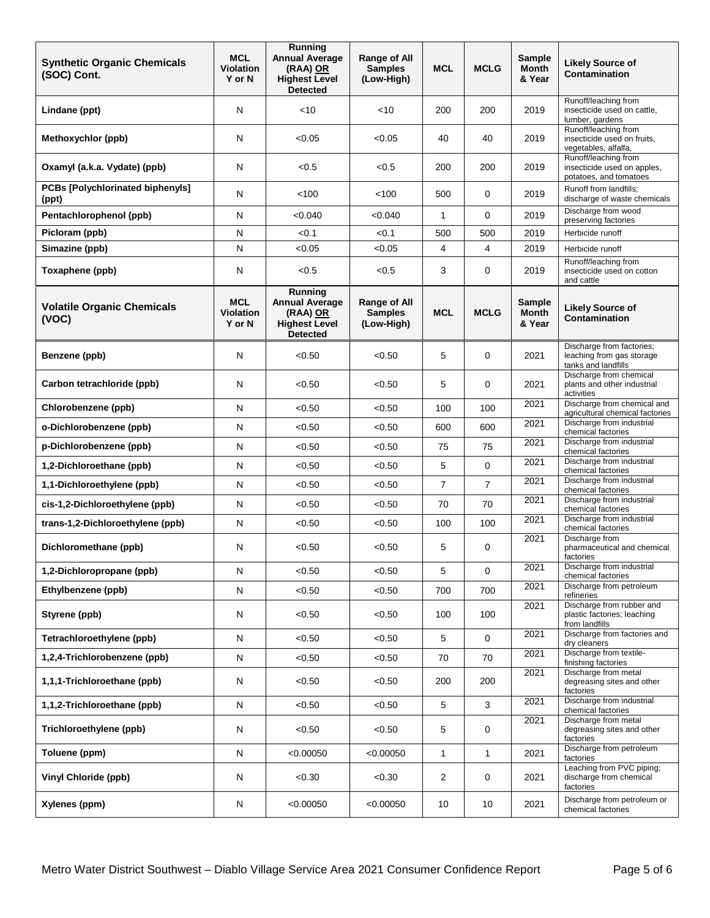| <b>Synthetic Organic Chemicals</b><br>(SOC) Cont. | <b>MCL</b><br><b>Violation</b><br>Y or N | Running<br><b>Annual Average</b><br>(RAA) OR<br><b>Highest Level</b><br><b>Detected</b> | <b>Range of All</b><br><b>Samples</b><br>(Low-High) | <b>MCL</b>     | <b>MCLG</b>    | <b>Sample</b><br><b>Month</b><br>& Year | <b>Likely Source of</b><br>Contamination                                      |
|---------------------------------------------------|------------------------------------------|-----------------------------------------------------------------------------------------|-----------------------------------------------------|----------------|----------------|-----------------------------------------|-------------------------------------------------------------------------------|
| Lindane (ppt)                                     | N                                        | $<$ 10                                                                                  | $<$ 10                                              | 200            | 200            | 2019                                    | Runoff/leaching from<br>insecticide used on cattle,<br>lumber, gardens        |
| Methoxychlor (ppb)                                | N                                        | < 0.05                                                                                  | < 0.05                                              | 40             | 40             | 2019                                    | Runoff/leaching from<br>insecticide used on fruits,<br>vegetables, alfalfa,   |
| Oxamyl (a.k.a. Vydate) (ppb)                      | N                                        | < 0.5                                                                                   | < 0.5                                               | 200            | 200            | 2019                                    | Runoff/leaching from<br>insecticide used on apples,<br>potatoes, and tomatoes |
| PCBs [Polychlorinated biphenyls]<br>(ppt)         | N                                        | < 100                                                                                   | < 100                                               | 500            | $\mathbf 0$    | 2019                                    | Runoff from landfills;<br>discharge of waste chemicals                        |
| Pentachlorophenol (ppb)                           | N                                        | < 0.040                                                                                 | < 0.040                                             | $\mathbf{1}$   | $\mathbf 0$    | 2019                                    | Discharge from wood<br>preserving factories                                   |
| Picloram (ppb)                                    | ${\sf N}$                                | < 0.1                                                                                   | < 0.1                                               | 500            | 500            | 2019                                    | Herbicide runoff                                                              |
| Simazine (ppb)                                    | N                                        | < 0.05                                                                                  | < 0.05                                              | 4              | 4              | 2019                                    | Herbicide runoff                                                              |
| Toxaphene (ppb)                                   | N                                        | < 0.5                                                                                   | < 0.5                                               | 3              | 0              | 2019                                    | Runoff/leaching from<br>insecticide used on cotton<br>and cattle              |
| <b>Volatile Organic Chemicals</b><br>(VOC)        | <b>MCL</b><br><b>Violation</b><br>Y or N | Running<br><b>Annual Average</b><br>(RAA) OR<br><b>Highest Level</b><br><b>Detected</b> | Range of All<br><b>Samples</b><br>(Low-High)        | <b>MCL</b>     | <b>MCLG</b>    | <b>Sample</b><br><b>Month</b><br>& Year | <b>Likely Source of</b><br>Contamination                                      |
| Benzene (ppb)                                     | N                                        | < 0.50                                                                                  | < 0.50                                              | 5              | 0              | 2021                                    | Discharge from factories;<br>leaching from gas storage<br>tanks and landfills |
| Carbon tetrachloride (ppb)                        | N                                        | < 0.50                                                                                  | < 0.50                                              | 5              | 0              | 2021                                    | Discharge from chemical<br>plants and other industrial<br>activities          |
| Chlorobenzene (ppb)                               | N                                        | < 0.50                                                                                  | < 0.50                                              | 100            | 100            | 2021                                    | Discharge from chemical and<br>agricultural chemical factories                |
| o-Dichlorobenzene (ppb)                           | ${\sf N}$                                | < 0.50                                                                                  | < 0.50                                              | 600            | 600            | 2021                                    | Discharge from industrial<br>chemical factories                               |
| p-Dichlorobenzene (ppb)                           | N                                        | < 0.50                                                                                  | < 0.50                                              | 75             | 75             | 2021                                    | Discharge from industrial<br>chemical factories                               |
| 1,2-Dichloroethane (ppb)                          | N                                        | < 0.50                                                                                  | < 0.50                                              | 5              | $\mathbf 0$    | 2021                                    | Discharge from industrial<br>chemical factories                               |
| 1,1-Dichloroethylene (ppb)                        | N                                        | < 0.50                                                                                  | < 0.50                                              | $\overline{7}$ | $\overline{7}$ | 2021                                    | Discharge from industrial<br>chemical factories                               |
| cis-1,2-Dichloroethylene (ppb)                    | N                                        | < 0.50                                                                                  | < 0.50                                              | 70             | 70             | 2021                                    | Discharge from industrial<br>chemical factories                               |
| trans-1,2-Dichloroethylene (ppb)                  | ${\sf N}$                                | < 0.50                                                                                  | < 0.50                                              | 100            | 100            | 2021                                    | Discharge from industrial<br>chemical factories                               |
| Dichloromethane (ppb)                             | N                                        | < 0.50                                                                                  | < 0.50                                              | 5              | 0              | 2021                                    | Discharge from<br>pharmaceutical and chemical<br>factories                    |
| 1,2-Dichloropropane (ppb)                         | ${\sf N}$                                | < 0.50                                                                                  | < 0.50                                              | 5              | 0              | 2021                                    | Discharge from industrial<br>chemical factories                               |
| Ethylbenzene (ppb)                                | ${\sf N}$                                | < 0.50                                                                                  | < 0.50                                              | 700            | 700            | 2021                                    | Discharge from petroleum<br>refineries                                        |
| Styrene (ppb)                                     | N                                        | < 0.50                                                                                  | < 0.50                                              | 100            | 100            | 2021                                    | Discharge from rubber and<br>plastic factories; leaching<br>from landfills    |
| Tetrachloroethylene (ppb)                         | ${\sf N}$                                | < 0.50                                                                                  | < 0.50                                              | 5              | $\mathbf 0$    | 2021                                    | Discharge from factories and<br>dry cleaners                                  |
| 1,2,4-Trichlorobenzene (ppb)                      | ${\sf N}$                                | < 0.50                                                                                  | < 0.50                                              | 70             | 70             | 2021                                    | Discharge from textile-<br>finishing factories                                |
| 1,1,1-Trichloroethane (ppb)                       | N                                        | < 0.50                                                                                  | < 0.50                                              | 200            | 200            | 2021                                    | Discharge from metal<br>degreasing sites and other<br>factories               |
| 1,1,2-Trichloroethane (ppb)                       | ${\sf N}$                                | < 0.50                                                                                  | < 0.50                                              | 5              | 3              | 2021                                    | Discharge from industrial<br>chemical factories                               |
| Trichloroethylene (ppb)                           | ${\sf N}$                                | < 0.50                                                                                  | < 0.50                                              | 5              | $\mathbf 0$    | 2021                                    | Discharge from metal<br>degreasing sites and other<br>factories               |
| Toluene (ppm)                                     | ${\sf N}$                                | < 0.00050                                                                               | < 0.00050                                           | $\mathbf{1}$   | 1              | 2021                                    | Discharge from petroleum<br>factories                                         |
| <b>Vinyl Chloride (ppb)</b>                       | ${\sf N}$                                | < 0.30                                                                                  | < 0.30                                              | $\overline{c}$ | $\mathbf 0$    | 2021                                    | Leaching from PVC piping;<br>discharge from chemical<br>factories             |
| Xylenes (ppm)                                     | N                                        | < 0.00050                                                                               | < 0.00050                                           | 10             | 10             | 2021                                    | Discharge from petroleum or<br>chemical factories                             |